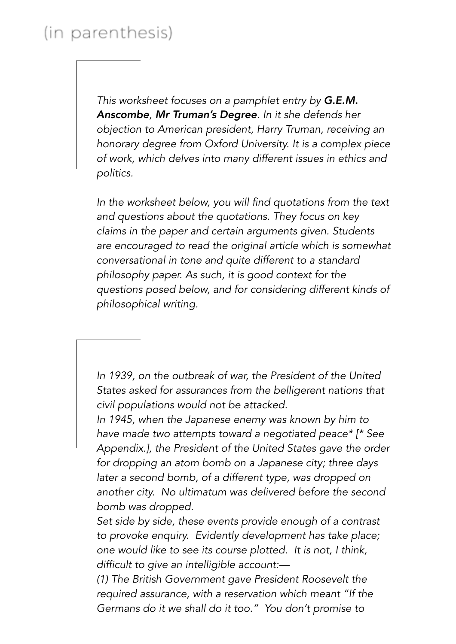## (in parenthesis)

*This worksheet focuses on a pamphlet entry by G.E.M. Anscombe, Mr Truman's Degree. In it she defends her objection to American president, Harry Truman, receiving an honorary degree from Oxford University. It is a complex piece of work, which delves into many different issues in ethics and politics.* 

*In the worksheet below, you will find quotations from the text and questions about the quotations. They focus on key claims in the paper and certain arguments given. Students are encouraged to read the original article which is somewhat conversational in tone and quite different to a standard philosophy paper. As such, it is good context for the questions posed below, and for considering different kinds of philosophical writing.*

*In 1939, on the outbreak of war, the President of the United States asked for assurances from the belligerent nations that civil populations would not be attacked.* 

*In 1945, when the Japanese enemy was known by him to have made two attempts toward a negotiated peace\* [\* See Appendix.], the President of the United States gave the order for dropping an atom bomb on a Japanese city; three days later a second bomb, of a different type, was dropped on another city. No ultimatum was delivered before the second bomb was dropped.* 

*Set side by side, these events provide enough of a contrast to provoke enquiry. Evidently development has take place; one would like to see its course plotted. It is not, I think, difficult to give an intelligible account:—* 

*(1) The British Government gave President Roosevelt the required assurance, with a reservation which meant "If the Germans do it we shall do it too." You don't promise to*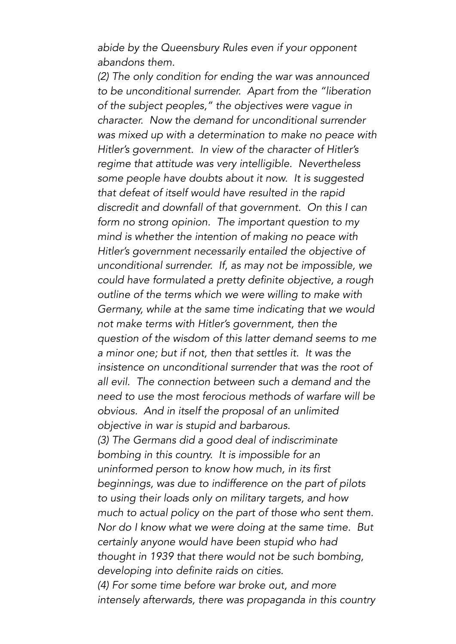*abide by the Queensbury Rules even if your opponent abandons them.* 

*(2) The only condition for ending the war was announced to be unconditional surrender. Apart from the "liberation of the subject peoples," the objectives were vague in character. Now the demand for unconditional surrender was mixed up with a determination to make no peace with Hitler's government. In view of the character of Hitler's regime that attitude was very intelligible. Nevertheless some people have doubts about it now. It is suggested that defeat of itself would have resulted in the rapid discredit and downfall of that government. On this I can form no strong opinion. The important question to my mind is whether the intention of making no peace with Hitler's government necessarily entailed the objective of unconditional surrender. If, as may not be impossible, we could have formulated a pretty definite objective, a rough outline of the terms which we were willing to make with Germany, while at the same time indicating that we would not make terms with Hitler's government, then the question of the wisdom of this latter demand seems to me a minor one; but if not, then that settles it. It was the*  insistence on unconditional surrender that was the root of *all evil. The connection between such a demand and the need to use the most ferocious methods of warfare will be obvious. And in itself the proposal of an unlimited objective in war is stupid and barbarous. (3) The Germans did a good deal of indiscriminate bombing in this country. It is impossible for an uninformed person to know how much, in its first beginnings, was due to indifference on the part of pilots to using their loads only on military targets, and how much to actual policy on the part of those who sent them. Nor do I know what we were doing at the same time. But certainly anyone would have been stupid who had thought in 1939 that there would not be such bombing, developing into definite raids on cities. (4) For some time before war broke out, and more intensely afterwards, there was propaganda in this country*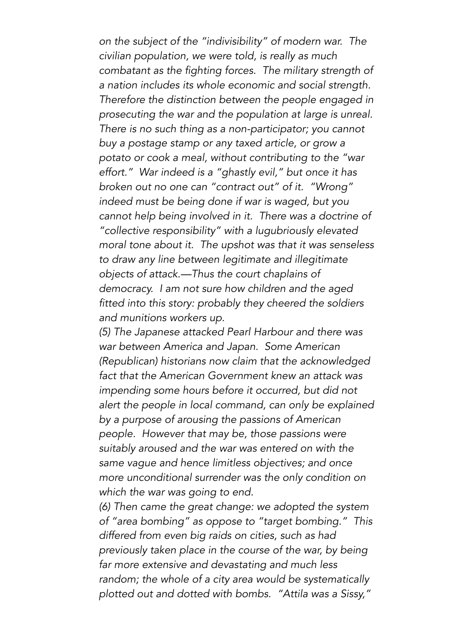*on the subject of the "indivisibility" of modern war. The civilian population, we were told, is really as much combatant as the fighting forces. The military strength of a nation includes its whole economic and social strength. Therefore the distinction between the people engaged in prosecuting the war and the population at large is unreal. There is no such thing as a non-participator; you cannot buy a postage stamp or any taxed article, or grow a potato or cook a meal, without contributing to the "war effort." War indeed is a "ghastly evil," but once it has broken out no one can "contract out" of it. "Wrong" indeed must be being done if war is waged, but you cannot help being involved in it. There was a doctrine of "collective responsibility" with a lugubriously elevated moral tone about it. The upshot was that it was senseless to draw any line between legitimate and illegitimate objects of attack.—Thus the court chaplains of democracy. I am not sure how children and the aged fitted into this story: probably they cheered the soldiers and munitions workers up.* 

*(5) The Japanese attacked Pearl Harbour and there was war between America and Japan. Some American (Republican) historians now claim that the acknowledged fact that the American Government knew an attack was impending some hours before it occurred, but did not alert the people in local command, can only be explained by a purpose of arousing the passions of American people. However that may be, those passions were suitably aroused and the war was entered on with the same vague and hence limitless objectives; and once more unconditional surrender was the only condition on which the war was going to end.* 

*(6) Then came the great change: we adopted the system of "area bombing" as oppose to "target bombing." This differed from even big raids on cities, such as had previously taken place in the course of the war, by being far more extensive and devastating and much less random; the whole of a city area would be systematically plotted out and dotted with bombs. "Attila was a Sissy,"*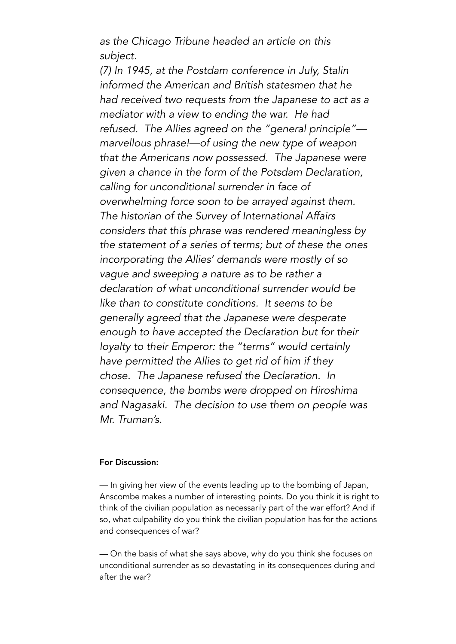*as the Chicago Tribune headed an article on this subject.* 

*(7) In 1945, at the Postdam conference in July, Stalin informed the American and British statesmen that he had received two requests from the Japanese to act as a mediator with a view to ending the war. He had refused. The Allies agreed on the "general principle" marvellous phrase!—of using the new type of weapon that the Americans now possessed. The Japanese were given a chance in the form of the Potsdam Declaration, calling for unconditional surrender in face of overwhelming force soon to be arrayed against them. The historian of the Survey of International Affairs considers that this phrase was rendered meaningless by the statement of a series of terms; but of these the ones incorporating the Allies' demands were mostly of so vague and sweeping a nature as to be rather a declaration of what unconditional surrender would be like than to constitute conditions. It seems to be generally agreed that the Japanese were desperate enough to have accepted the Declaration but for their loyalty to their Emperor: the "terms" would certainly have permitted the Allies to get rid of him if they chose. The Japanese refused the Declaration. In consequence, the bombs were dropped on Hiroshima and Nagasaki. The decision to use them on people was Mr. Truman's.*

## For Discussion:

— In giving her view of the events leading up to the bombing of Japan, Anscombe makes a number of interesting points. Do you think it is right to think of the civilian population as necessarily part of the war effort? And if so, what culpability do you think the civilian population has for the actions and consequences of war?

— On the basis of what she says above, why do you think she focuses on unconditional surrender as so devastating in its consequences during and after the war?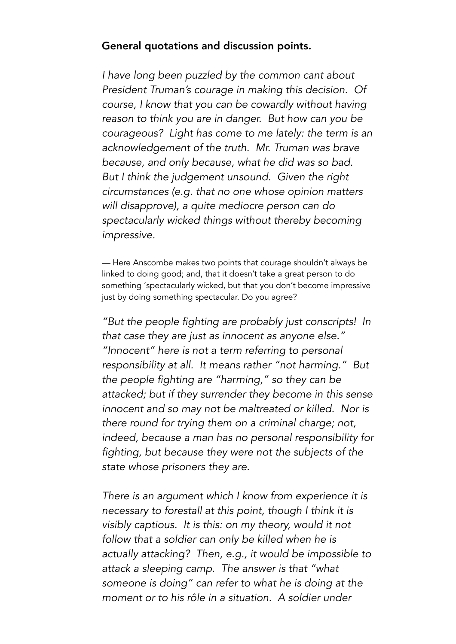## General quotations and discussion points.

*I have long been puzzled by the common cant about President Truman's courage in making this decision. Of course, I know that you can be cowardly without having reason to think you are in danger. But how can you be courageous? Light has come to me lately: the term is an acknowledgement of the truth. Mr. Truman was brave because, and only because, what he did was so bad. But I think the judgement unsound. Given the right circumstances (e.g. that no one whose opinion matters will disapprove), a quite mediocre person can do spectacularly wicked things without thereby becoming impressive.*

*—* Here Anscombe makes two points that courage shouldn't always be linked to doing good; and, that it doesn't take a great person to do something 'spectacularly wicked, but that you don't become impressive just by doing something spectacular. Do you agree?

*"But the people fighting are probably just conscripts! In that case they are just as innocent as anyone else." "Innocent" here is not a term referring to personal responsibility at all. It means rather "not harming." But the people fighting are "harming," so they can be attacked; but if they surrender they become in this sense innocent and so may not be maltreated or killed. Nor is there round for trying them on a criminal charge; not, indeed, because a man has no personal responsibility for fighting, but because they were not the subjects of the state whose prisoners they are.*

*There is an argument which I know from experience it is necessary to forestall at this point, though I think it is visibly captious. It is this: on my theory, would it not follow that a soldier can only be killed when he is actually attacking? Then, e.g., it would be impossible to attack a sleeping camp. The answer is that "what someone is doing" can refer to what he is doing at the moment or to his rôle in a situation. A soldier under*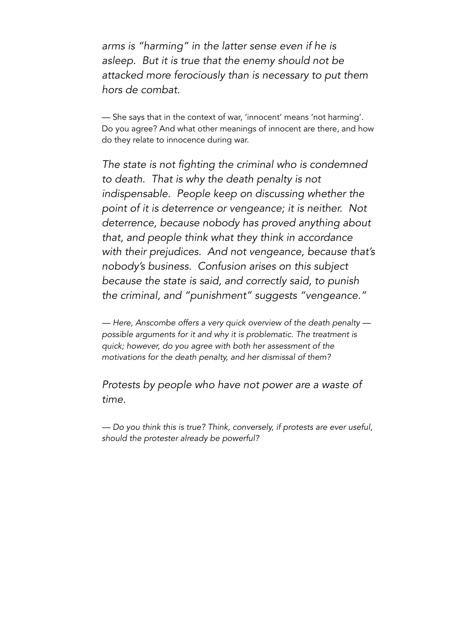*arms is "harming" in the latter sense even if he is asleep. But it is true that the enemy should not be attacked more ferociously than is necessary to put them hors de combat.*

— She says that in the context of war, 'innocent' means 'not harming'. Do you agree? And what other meanings of innocent are there, and how do they relate to innocence during war.

*The state is not fighting the criminal who is condemned to death. That is why the death penalty is not indispensable. People keep on discussing whether the point of it is deterrence or vengeance; it is neither. Not deterrence, because nobody has proved anything about that, and people think what they think in accordance with their prejudices. And not vengeance, because that's nobody's business. Confusion arises on this subject because the state is said, and correctly said, to punish the criminal, and "punishment" suggests "vengeance."*

*— Here, Anscombe offers a very quick overview of the death penalty possible arguments for it and why it is problematic. The treatment is quick; however, do you agree with both her assessment of the motivations for the death penalty, and her dismissal of them?* 

*Protests by people who have not power are a waste of time.*

*— Do you think this is true? Think, conversely, if protests are ever useful, should the protester already be powerful?*